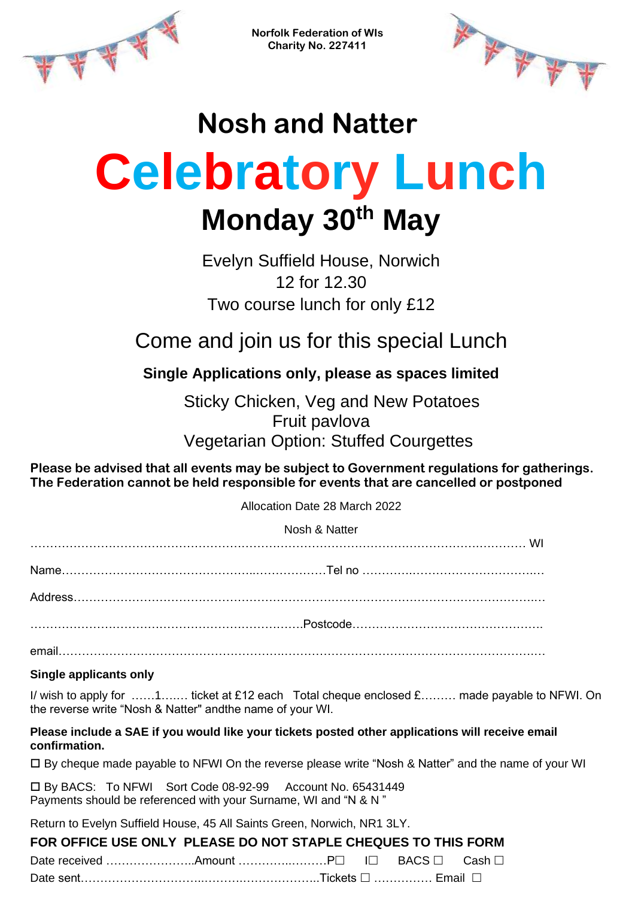

**Norfolk Federation of WIs Charity No. 227411**



## **Nosh and Natter Celebratory Lunch Monday 30th May**

Evelyn Suffield House, Norwich 12 for 12.30 Two course lunch for only £12

Come and join us for this special Lunch

**Single Applications only, please as spaces limited**

Sticky Chicken, Veg and New Potatoes Fruit pavlova Vegetarian Option: Stuffed Courgettes

**Please be advised that all events may be subject to Government regulations for gatherings. The Federation cannot be held responsible for events that are cancelled or postponed**

Allocation Date 28 March 2022

Nosh & Natter

## **Single applicants only**

I/ wish to apply for ……1….… ticket at £12 each Total cheque enclosed £……… made payable to NFWI. On the reverse write "Nosh & Natter" andthe name of your WI.

**Please include a SAE if you would like your tickets posted other applications will receive email confirmation.**

By cheque made payable to NFWI On the reverse please write "Nosh & Natter" and the name of your WI

 By BACS: To NFWI Sort Code 08-92-99 Account No. 65431449 Payments should be referenced with your Surname, WI and "N & N "

Return to Evelyn Suffield House, 45 All Saints Green, Norwich, NR1 3LY.

## **FOR OFFICE USE ONLY PLEASE DO NOT STAPLE CHEQUES TO THIS FORM**

Date received ………………………Amount ……………………P□ I□ BACS □ Cash □ Date sent…………………………..……….………………..Tickets …………… Email